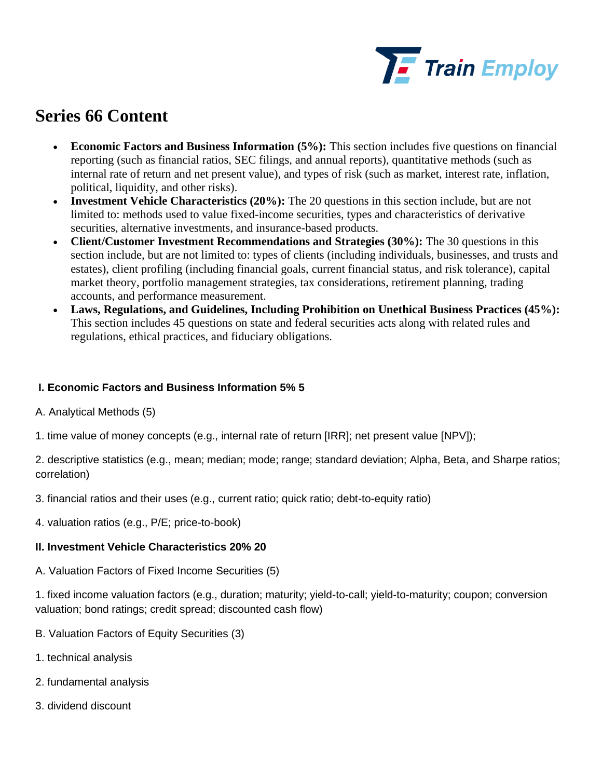

## **Series 66 Content**

- **Economic Factors and Business Information (5%):** This section includes five questions on financial reporting (such as financial ratios, SEC filings, and annual reports), quantitative methods (such as internal rate of return and net present value), and types of risk (such as market, interest rate, inflation, political, liquidity, and other risks).
- **Investment Vehicle Characteristics (20%):** The 20 questions in this section include, but are not limited to: methods used to value fixed-income securities, types and characteristics of derivative securities, alternative investments, and insurance-based products.
- **Client/Customer Investment Recommendations and Strategies (30%):** The 30 questions in this section include, but are not limited to: types of clients (including individuals, businesses, and trusts and estates), client profiling (including financial goals, current financial status, and risk tolerance), capital market theory, portfolio management strategies, tax considerations, retirement planning, trading accounts, and performance measurement.
- **Laws, Regulations, and Guidelines, Including Prohibition on Unethical Business Practices (45%):**  This section includes 45 questions on state and federal securities acts along with related rules and regulations, ethical practices, and fiduciary obligations.

## **I. Economic Factors and Business Information 5% 5**

- A. Analytical Methods (5)
- 1. time value of money concepts (e.g., internal rate of return [IRR]; net present value [NPV]);
- 2. descriptive statistics (e.g., mean; median; mode; range; standard deviation; Alpha, Beta, and Sharpe ratios; correlation)
- 3. financial ratios and their uses (e.g., current ratio; quick ratio; debt-to-equity ratio)
- 4. valuation ratios (e.g., P/E; price-to-book)

## **II. Investment Vehicle Characteristics 20% 20**

A. Valuation Factors of Fixed Income Securities (5)

1. fixed income valuation factors (e.g., duration; maturity; yield-to-call; yield-to-maturity; coupon; conversion valuation; bond ratings; credit spread; discounted cash flow)

- B. Valuation Factors of Equity Securities (3)
- 1. technical analysis
- 2. fundamental analysis
- 3. dividend discount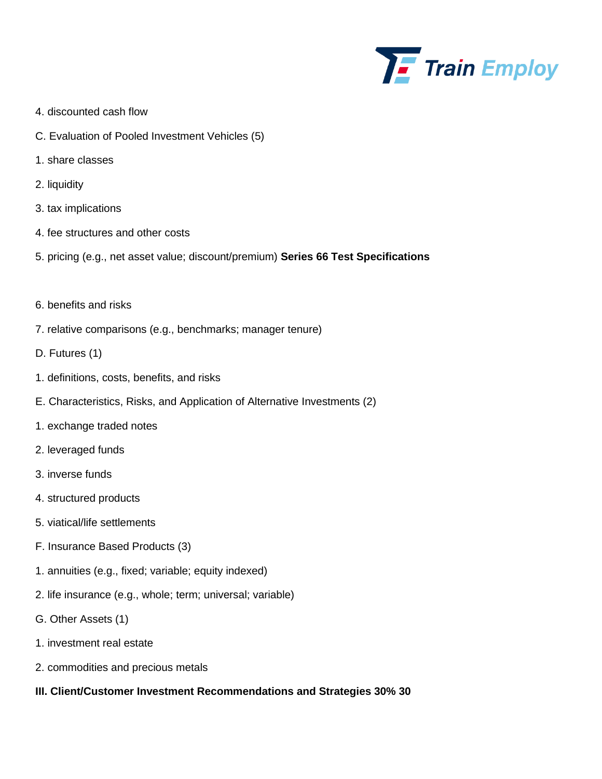

- 4. discounted cash flow
- C. Evaluation of Pooled Investment Vehicles (5)
- 1. share classes
- 2. liquidity
- 3. tax implications
- 4. fee structures and other costs
- 5. pricing (e.g., net asset value; discount/premium) **Series 66 Test Specifications**
- 6. benefits and risks
- 7. relative comparisons (e.g., benchmarks; manager tenure)
- D. Futures (1)
- 1. definitions, costs, benefits, and risks
- E. Characteristics, Risks, and Application of Alternative Investments (2)
- 1. exchange traded notes
- 2. leveraged funds
- 3. inverse funds
- 4. structured products
- 5. viatical/life settlements
- F. Insurance Based Products (3)
- 1. annuities (e.g., fixed; variable; equity indexed)
- 2. life insurance (e.g., whole; term; universal; variable)
- G. Other Assets (1)
- 1. investment real estate
- 2. commodities and precious metals
- **III. Client/Customer Investment Recommendations and Strategies 30% 30**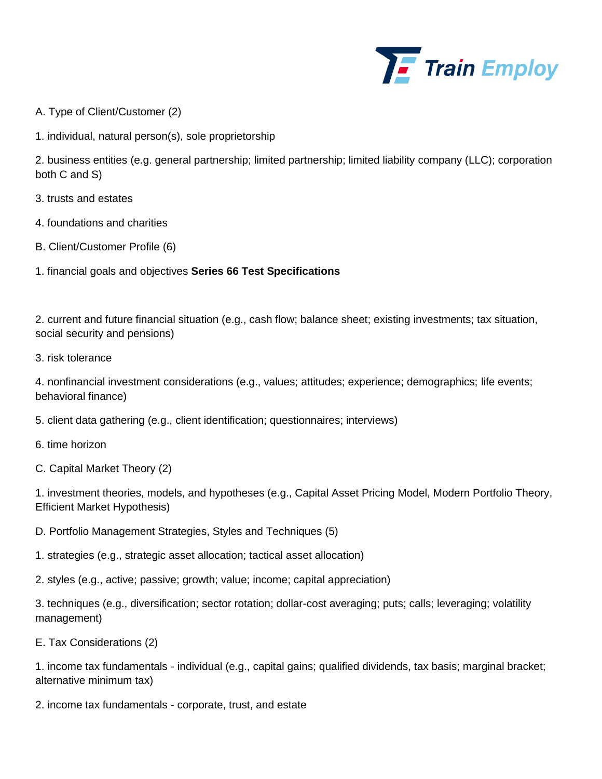

- A. Type of Client/Customer (2)
- 1. individual, natural person(s), sole proprietorship

2. business entities (e.g. general partnership; limited partnership; limited liability company (LLC); corporation both C and S)

- 3. trusts and estates
- 4. foundations and charities
- B. Client/Customer Profile (6)
- 1. financial goals and objectives **Series 66 Test Specifications**

2. current and future financial situation (e.g., cash flow; balance sheet; existing investments; tax situation, social security and pensions)

3. risk tolerance

4. nonfinancial investment considerations (e.g., values; attitudes; experience; demographics; life events; behavioral finance)

- 5. client data gathering (e.g., client identification; questionnaires; interviews)
- 6. time horizon
- C. Capital Market Theory (2)

1. investment theories, models, and hypotheses (e.g., Capital Asset Pricing Model, Modern Portfolio Theory, Efficient Market Hypothesis)

- D. Portfolio Management Strategies, Styles and Techniques (5)
- 1. strategies (e.g., strategic asset allocation; tactical asset allocation)
- 2. styles (e.g., active; passive; growth; value; income; capital appreciation)

3. techniques (e.g., diversification; sector rotation; dollar-cost averaging; puts; calls; leveraging; volatility management)

E. Tax Considerations (2)

1. income tax fundamentals - individual (e.g., capital gains; qualified dividends, tax basis; marginal bracket; alternative minimum tax)

2. income tax fundamentals - corporate, trust, and estate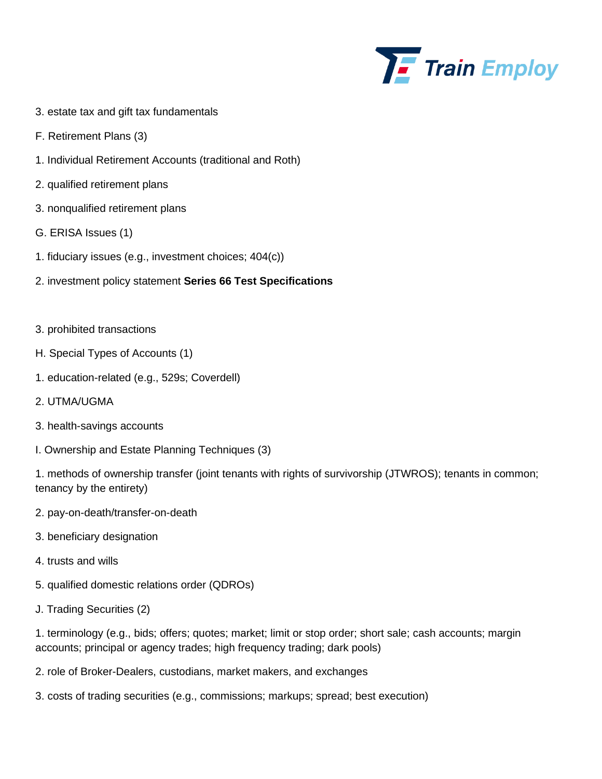

- 3. estate tax and gift tax fundamentals
- F. Retirement Plans (3)
- 1. Individual Retirement Accounts (traditional and Roth)
- 2. qualified retirement plans
- 3. nonqualified retirement plans
- G. ERISA Issues (1)
- 1. fiduciary issues (e.g., investment choices; 404(c))
- 2. investment policy statement **Series 66 Test Specifications**
- 3. prohibited transactions
- H. Special Types of Accounts (1)
- 1. education-related (e.g., 529s; Coverdell)
- 2. UTMA/UGMA
- 3. health-savings accounts
- I. Ownership and Estate Planning Techniques (3)

1. methods of ownership transfer (joint tenants with rights of survivorship (JTWROS); tenants in common; tenancy by the entirety)

- 2. pay-on-death/transfer-on-death
- 3. beneficiary designation
- 4. trusts and wills
- 5. qualified domestic relations order (QDROs)
- J. Trading Securities (2)

1. terminology (e.g., bids; offers; quotes; market; limit or stop order; short sale; cash accounts; margin accounts; principal or agency trades; high frequency trading; dark pools)

- 2. role of Broker-Dealers, custodians, market makers, and exchanges
- 3. costs of trading securities (e.g., commissions; markups; spread; best execution)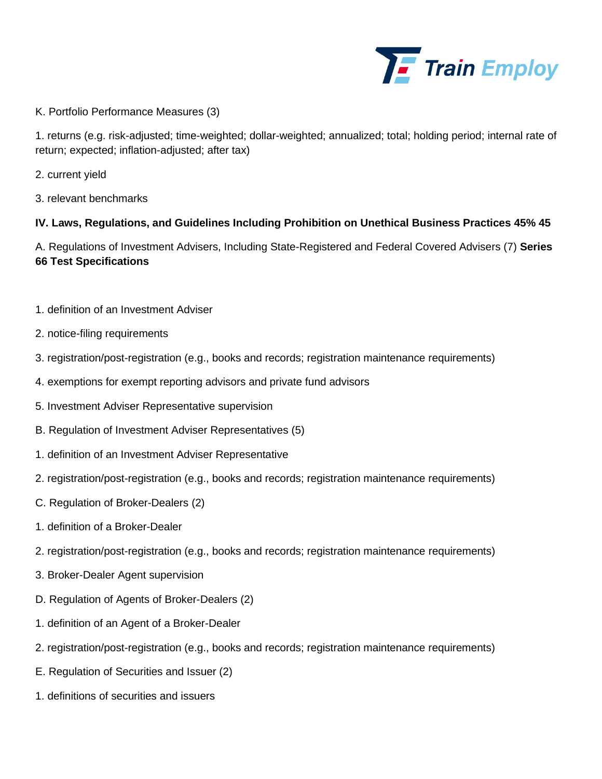

K. Portfolio Performance Measures (3)

1. returns (e.g. risk-adjusted; time-weighted; dollar-weighted; annualized; total; holding period; internal rate of return; expected; inflation-adjusted; after tax)

- 2. current yield
- 3. relevant benchmarks

## **IV. Laws, Regulations, and Guidelines Including Prohibition on Unethical Business Practices 45% 45**

A. Regulations of Investment Advisers, Including State-Registered and Federal Covered Advisers (7) **Series 66 Test Specifications** 

- 1. definition of an Investment Adviser
- 2. notice-filing requirements
- 3. registration/post-registration (e.g., books and records; registration maintenance requirements)
- 4. exemptions for exempt reporting advisors and private fund advisors
- 5. Investment Adviser Representative supervision
- B. Regulation of Investment Adviser Representatives (5)
- 1. definition of an Investment Adviser Representative
- 2. registration/post-registration (e.g., books and records; registration maintenance requirements)
- C. Regulation of Broker-Dealers (2)
- 1. definition of a Broker-Dealer
- 2. registration/post-registration (e.g., books and records; registration maintenance requirements)
- 3. Broker-Dealer Agent supervision
- D. Regulation of Agents of Broker-Dealers (2)
- 1. definition of an Agent of a Broker-Dealer
- 2. registration/post-registration (e.g., books and records; registration maintenance requirements)
- E. Regulation of Securities and Issuer (2)
- 1. definitions of securities and issuers